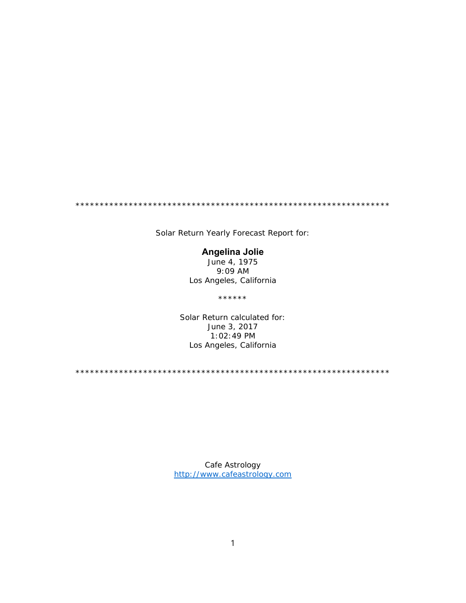\*\*\*\*\*\*\*\*\*\*\*\*\*\*\*\*\*\*\*\*\*\*\*\*\*\*\*\*\*\*\*\*\*\*\*\*\*\*\*\*\*\*\*\*\*\*\*\*\*\*\*\*\*\*\*\*\*\*\*\*\*\*\*\*\*

Solar Return Yearly Forecast Report for:

# **Angelina Jolie**

June 4, 1975 9:09 AM Los Angeles, California

\*\*\*\*\*\*

Solar Return calculated for: June 3, 2017 1:02:49 PM Los Angeles, California

\*\*\*\*\*\*\*\*\*\*\*\*\*\*\*\*\*\*\*\*\*\*\*\*\*\*\*\*\*\*\*\*\*\*\*\*\*\*\*\*\*\*\*\*\*\*\*\*\*\*\*\*\*\*\*\*\*\*\*\*\*\*\*\*\*

Cafe Astrology http://www.cafeastrology.com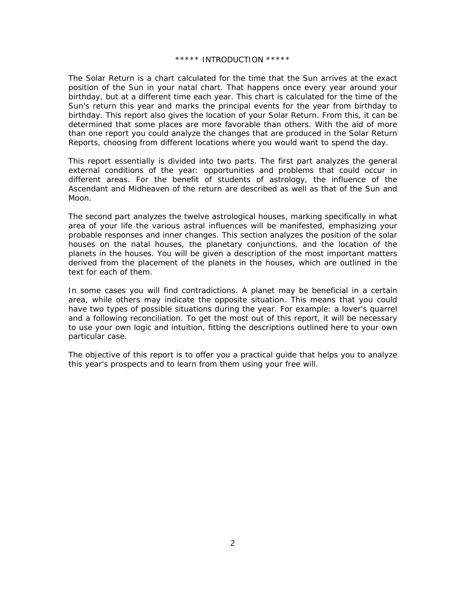### \*\*\*\*\* INTRODUCTION \*\*\*\*\*

The Solar Return is a chart calculated for the time that the Sun arrives at the exact position of the Sun in your natal chart. That happens once every year around your birthday, but at a different time each year. This chart is calculated for the time of the Sun's return this year and marks the principal events for the year from birthday to birthday. This report also gives the location of your Solar Return. From this, it can be determined that some places are more favorable than others. With the aid of more than one report you could analyze the changes that are produced in the Solar Return Reports, choosing from different locations where you would want to spend the day.

This report essentially is divided into two parts. The first part analyzes the general external conditions of the year: opportunities and problems that could occur in different areas. For the benefit of students of astrology, the influence of the Ascendant and Midheaven of the return are described as well as that of the Sun and Moon.

The second part analyzes the twelve astrological houses, marking specifically in what area of your life the various astral influences will be manifested, emphasizing your probable responses and inner changes. This section analyzes the position of the solar houses on the natal houses, the planetary conjunctions, and the location of the planets in the houses. You will be given a description of the most important matters derived from the placement of the planets in the houses, which are outlined in the text for each of them.

In some cases you will find contradictions. A planet may be beneficial in a certain area, while others may indicate the opposite situation. This means that you could have two types of possible situations during the year. For example: a lover's quarrel and a following reconciliation. To get the most out of this report, it will be necessary to use your own logic and intuition, fitting the descriptions outlined here to your own particular case.

The objective of this report is to offer you a practical guide that helps you to analyze this year's prospects and to learn from them using your free will.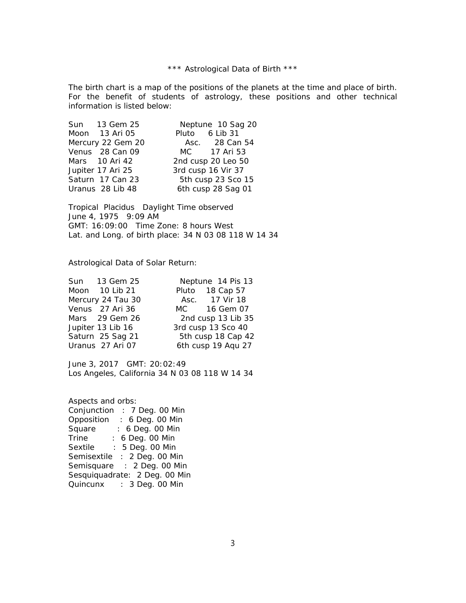\*\*\* Astrological Data of Birth \*\*\*

The birth chart is a map of the positions of the planets at the time and place of birth. For the benefit of students of astrology, these positions and other technical information is listed below:

|                   | Sun 13 Gem 25     |                    | Neptune 10 Sag 20  |  |
|-------------------|-------------------|--------------------|--------------------|--|
|                   | Moon 13 Ari 05    |                    | Pluto 6 Lib 31     |  |
|                   | Mercury 22 Gem 20 |                    | Asc. 28 Can 54     |  |
|                   | Venus 28 Can 09   |                    | MC 17 Ari 53       |  |
|                   | Mars 10 Ari 42    |                    | 2nd cusp 20 Leo 50 |  |
| Jupiter 17 Ari 25 |                   | 3rd cusp 16 Vir 37 |                    |  |
|                   | Saturn 17 Can 23  |                    | 5th cusp 23 Sco 15 |  |
|                   | Uranus 28 Lib 48  |                    | 6th cusp 28 Sag 01 |  |

Tropical Placidus Daylight Time observed June 4, 1975 9:09 AM GMT: 16:09:00 Time Zone: 8 hours West Lat. and Long. of birth place: 34 N 03 08 118 W 14 34

Astrological Data of Solar Return:

|                   | Sun 13 Gem 25    | Neptune 14 Pis 13  |                    |
|-------------------|------------------|--------------------|--------------------|
|                   | Moon 10 Lib 21   |                    | Pluto 18 Cap 57    |
| Mercury 24 Tau 30 |                  |                    | Asc. 17 Vir 18     |
|                   | Venus 27 Ari 36  |                    | MC 16 Gem 07       |
|                   | Mars 29 Gem 26   |                    | 2nd cusp 13 Lib 35 |
| Jupiter 13 Lib 16 |                  | 3rd cusp 13 Sco 40 |                    |
|                   | Saturn 25 Sag 21 | 5th cusp 18 Cap 42 |                    |
|                   | Uranus 27 Ari 07 |                    | 6th cusp 19 Aqu 27 |
|                   |                  |                    |                    |

June 3, 2017 GMT: 20:02:49 Los Angeles, California 34 N 03 08 118 W 14 34

Aspects and orbs: Conjunction : 7 Deg. 00 Min Opposition : 6 Deg. 00 Min Square : 6 Deg. 00 Min<br>Trine : 6 Deg. 00 Min Trine : 6 Deg. 00 Min Sextile : 5 Deg. 00 Min Semisextile : 2 Deg. 00 Min Semisquare : 2 Deg. 00 Min Sesquiquadrate: 2 Deg. 00 Min Quincunx : 3 Deg. 00 Min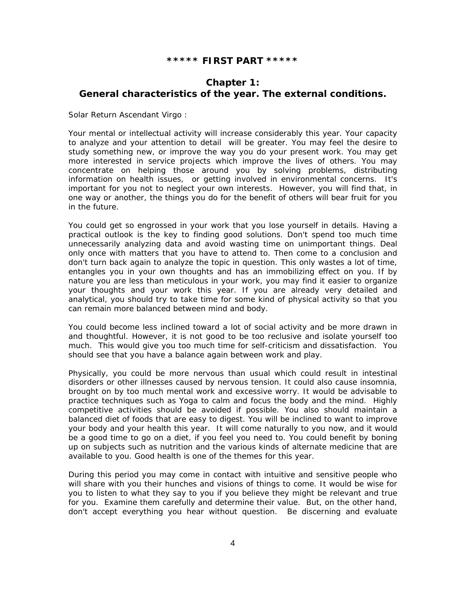## **\*\*\*\*\* FIRST PART \*\*\*\*\***

# **Chapter 1: General characteristics of the year. The external conditions.**

*Solar Return Ascendant Virgo :*

Your mental or intellectual activity will increase considerably this year. Your capacity to analyze and your attention to detail will be greater. You may feel the desire to study something new, or improve the way you do your present work. You may get more interested in service projects which improve the lives of others. You may concentrate on helping those around you by solving problems, distributing information on health issues, or getting involved in environmental concerns. It's important for you not to neglect your own interests. However, you will find that, in one way or another, the things you do for the benefit of others will bear fruit for you in the future.

You could get so engrossed in your work that you lose yourself in details. Having a practical outlook is the key to finding good solutions. Don't spend too much time unnecessarily analyzing data and avoid wasting time on unimportant things. Deal only once with matters that you have to attend to. Then come to a conclusion and don't turn back again to analyze the topic in question. This only wastes a lot of time, entangles you in your own thoughts and has an immobilizing effect on you. If by nature you are less than meticulous in your work, you may find it easier to organize your thoughts and your work this year. If you are already very detailed and analytical, you should try to take time for some kind of physical activity so that you can remain more balanced between mind and body.

You could become less inclined toward a lot of social activity and be more drawn in and thoughtful. However, it is not good to be too reclusive and isolate yourself too much. This would give you too much time for self-criticism and dissatisfaction. You should see that you have a balance again between work and play.

Physically, you could be more nervous than usual which could result in intestinal disorders or other illnesses caused by nervous tension. It could also cause insomnia, brought on by too much mental work and excessive worry. It would be advisable to practice techniques such as Yoga to calm and focus the body and the mind. Highly competitive activities should be avoided if possible. You also should maintain a balanced diet of foods that are easy to digest. You will be inclined to want to improve your body and your health this year. It will come naturally to you now, and it would be a good time to go on a diet, if you feel you need to. You could benefit by boning up on subjects such as nutrition and the various kinds of alternate medicine that are available to you. Good health is one of the themes for this year.

During this period you may come in contact with intuitive and sensitive people who will share with you their hunches and visions of things to come. It would be wise for you to listen to what they say to you if you believe they might be relevant and true for you. Examine them carefully and determine their value. But, on the other hand, don't accept everything you hear without question. Be discerning and evaluate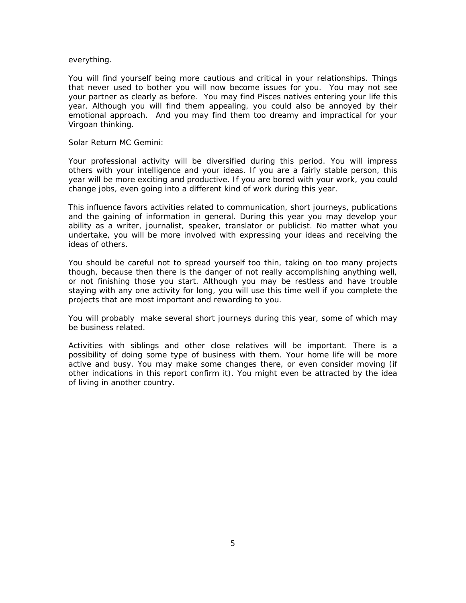### everything.

You will find yourself being more cautious and critical in your relationships. Things that never used to bother you will now become issues for you. You may not see your partner as clearly as before. You may find Pisces natives entering your life this year. Although you will find them appealing, you could also be annoyed by their emotional approach. And you may find them too dreamy and impractical for your Virgoan thinking.

#### *Solar Return MC Gemini:*

Your professional activity will be diversified during this period. You will impress others with your intelligence and your ideas. If you are a fairly stable person, this year will be more exciting and productive. If you are bored with your work, you could change jobs, even going into a different kind of work during this year.

This influence favors activities related to communication, short journeys, publications and the gaining of information in general. During this year you may develop your ability as a writer, journalist, speaker, translator or publicist. No matter what you undertake, you will be more involved with expressing your ideas and receiving the ideas of others.

You should be careful not to spread yourself too thin, taking on too many projects though, because then there is the danger of not really accomplishing anything well, or not finishing those you start. Although you may be restless and have trouble staying with any one activity for long, you will use this time well if you complete the projects that are most important and rewarding to you.

You will probably make several short journeys during this year, some of which may be business related.

Activities with siblings and other close relatives will be important. There is a possibility of doing some type of business with them. Your home life will be more active and busy. You may make some changes there, or even consider moving (if other indications in this report confirm it). You might even be attracted by the idea of living in another country.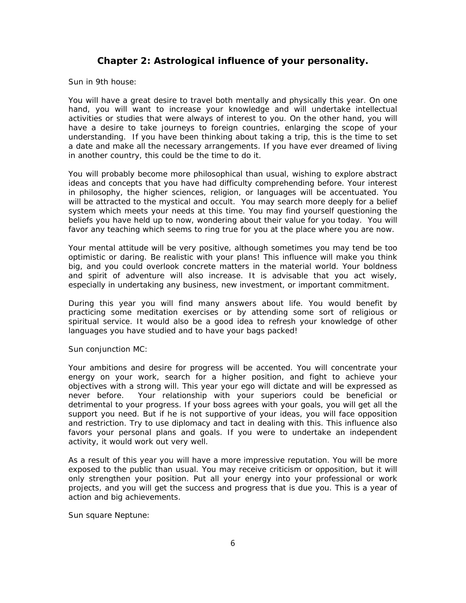# **Chapter 2: Astrological influence of your personality.**

### *Sun in 9th house:*

You will have a great desire to travel both mentally and physically this year. On one hand, you will want to increase your knowledge and will undertake intellectual activities or studies that were always of interest to you. On the other hand, you will have a desire to take journeys to foreign countries, enlarging the scope of your understanding. If you have been thinking about taking a trip, this is the time to set a date and make all the necessary arrangements. If you have ever dreamed of living in another country, this could be the time to do it.

You will probably become more philosophical than usual, wishing to explore abstract ideas and concepts that you have had difficulty comprehending before. Your interest in philosophy, the higher sciences, religion, or languages will be accentuated. You will be attracted to the mystical and occult. You may search more deeply for a belief system which meets your needs at this time. You may find yourself questioning the beliefs you have held up to now, wondering about their value for you today. You will favor any teaching which seems to ring true for you at the place where you are now.

Your mental attitude will be very positive, although sometimes you may tend be too optimistic or daring. Be realistic with your plans! This influence will make you think big, and you could overlook concrete matters in the material world. Your boldness and spirit of adventure will also increase. It is advisable that you act wisely, especially in undertaking any business, new investment, or important commitment.

During this year you will find many answers about life. You would benefit by practicing some meditation exercises or by attending some sort of religious or spiritual service. It would also be a good idea to refresh your knowledge of other languages you have studied and to have your bags packed!

### *Sun conjunction MC:*

Your ambitions and desire for progress will be accented. You will concentrate your energy on your work, search for a higher position, and fight to achieve your objectives with a strong will. This year your ego will dictate and will be expressed as never before. Your relationship with your superiors could be beneficial or detrimental to your progress. If your boss agrees with your goals, you will get all the support you need. But if he is not supportive of your ideas, you will face opposition and restriction. Try to use diplomacy and tact in dealing with this. This influence also favors your personal plans and goals. If you were to undertake an independent activity, it would work out very well.

As a result of this year you will have a more impressive reputation. You will be more exposed to the public than usual. You may receive criticism or opposition, but it will only strengthen your position. Put all your energy into your professional or work projects, and you will get the success and progress that is due you. This is a year of action and big achievements.

### *Sun square Neptune:*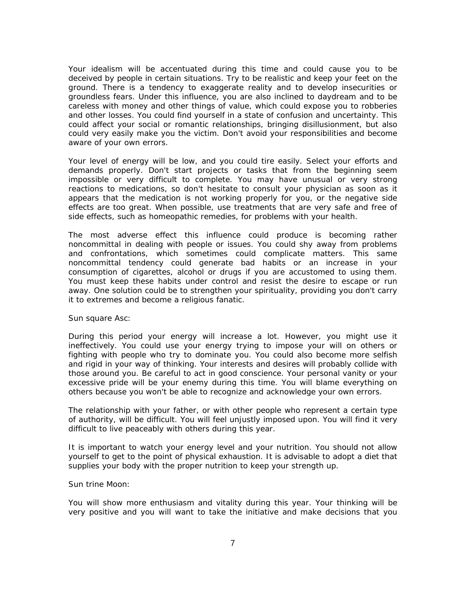Your idealism will be accentuated during this time and could cause you to be deceived by people in certain situations. Try to be realistic and keep your feet on the ground. There is a tendency to exaggerate reality and to develop insecurities or groundless fears. Under this influence, you are also inclined to daydream and to be careless with money and other things of value, which could expose you to robberies and other losses. You could find yourself in a state of confusion and uncertainty. This could affect your social or romantic relationships, bringing disillusionment, but also could very easily make you the victim. Don't avoid your responsibilities and become aware of your own errors.

Your level of energy will be low, and you could tire easily. Select your efforts and demands properly. Don't start projects or tasks that from the beginning seem impossible or very difficult to complete. You may have unusual or very strong reactions to medications, so don't hesitate to consult your physician as soon as it appears that the medication is not working properly for you, or the negative side effects are too great. When possible, use treatments that are very safe and free of side effects, such as homeopathic remedies, for problems with your health.

The most adverse effect this influence could produce is becoming rather noncommittal in dealing with people or issues. You could shy away from problems and confrontations, which sometimes could complicate matters. This same noncommittal tendency could generate bad habits or an increase in your consumption of cigarettes, alcohol or drugs if you are accustomed to using them. You must keep these habits under control and resist the desire to escape or run away. One solution could be to strengthen your spirituality, providing you don't carry it to extremes and become a religious fanatic.

### *Sun square Asc:*

During this period your energy will increase a lot. However, you might use it ineffectively. You could use your energy trying to impose your will on others or fighting with people who try to dominate you. You could also become more selfish and rigid in your way of thinking. Your interests and desires will probably collide with those around you. Be careful to act in good conscience. Your personal vanity or your excessive pride will be your enemy during this time. You will blame everything on others because you won't be able to recognize and acknowledge your own errors.

The relationship with your father, or with other people who represent a certain type of authority, will be difficult. You will feel unjustly imposed upon. You will find it very difficult to live peaceably with others during this year.

It is important to watch your energy level and your nutrition. You should not allow yourself to get to the point of physical exhaustion. It is advisable to adopt a diet that supplies your body with the proper nutrition to keep your strength up.

### *Sun trine Moon:*

You will show more enthusiasm and vitality during this year. Your thinking will be very positive and you will want to take the initiative and make decisions that you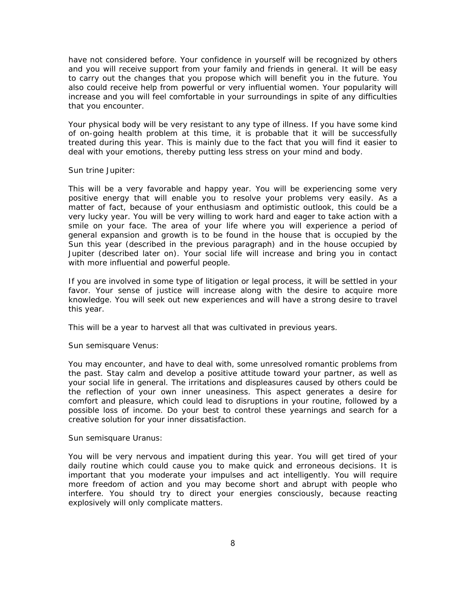have not considered before. Your confidence in yourself will be recognized by others and you will receive support from your family and friends in general. It will be easy to carry out the changes that you propose which will benefit you in the future. You also could receive help from powerful or very influential women. Your popularity will increase and you will feel comfortable in your surroundings in spite of any difficulties that you encounter.

Your physical body will be very resistant to any type of illness. If you have some kind of on-going health problem at this time, it is probable that it will be successfully treated during this year. This is mainly due to the fact that you will find it easier to deal with your emotions, thereby putting less stress on your mind and body.

### *Sun trine Jupiter:*

This will be a very favorable and happy year. You will be experiencing some very positive energy that will enable you to resolve your problems very easily. As a matter of fact, because of your enthusiasm and optimistic outlook, this could be a very lucky year. You will be very willing to work hard and eager to take action with a smile on your face. The area of your life where you will experience a period of general expansion and growth is to be found in the house that is occupied by the Sun this year (described in the previous paragraph) and in the house occupied by Jupiter (described later on). Your social life will increase and bring you in contact with more influential and powerful people.

If you are involved in some type of litigation or legal process, it will be settled in your favor. Your sense of justice will increase along with the desire to acquire more knowledge. You will seek out new experiences and will have a strong desire to travel this year.

This will be a year to harvest all that was cultivated in previous years.

### *Sun semisquare Venus:*

You may encounter, and have to deal with, some unresolved romantic problems from the past. Stay calm and develop a positive attitude toward your partner, as well as your social life in general. The irritations and displeasures caused by others could be the reflection of your own inner uneasiness. This aspect generates a desire for comfort and pleasure, which could lead to disruptions in your routine, followed by a possible loss of income. Do your best to control these yearnings and search for a creative solution for your inner dissatisfaction.

### *Sun semisquare Uranus:*

You will be very nervous and impatient during this year. You will get tired of your daily routine which could cause you to make quick and erroneous decisions. It is important that you moderate your impulses and act intelligently. You will require more freedom of action and you may become short and abrupt with people who interfere. You should try to direct your energies consciously, because reacting explosively will only complicate matters.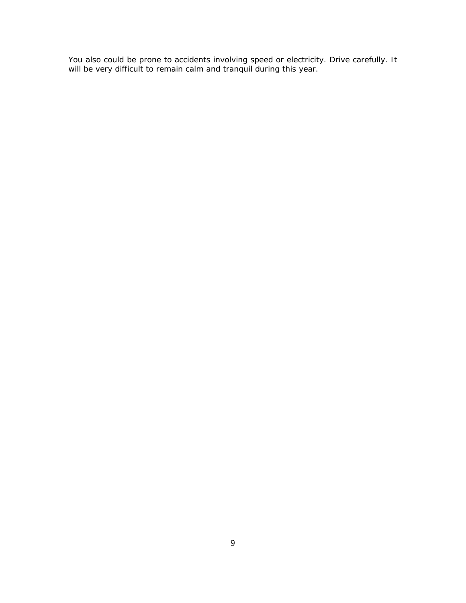You also could be prone to accidents involving speed or electricity. Drive carefully. It will be very difficult to remain calm and tranquil during this year.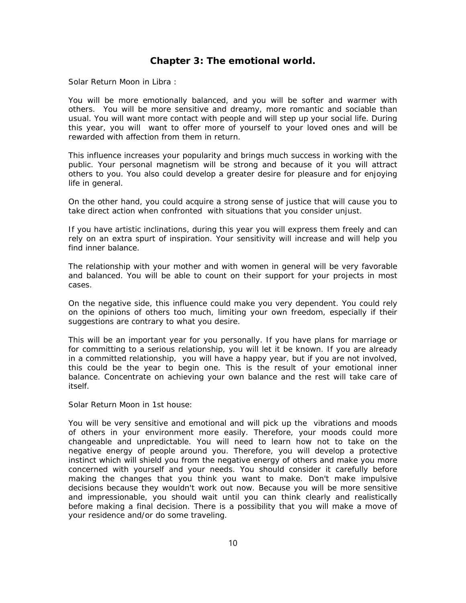# **Chapter 3: The emotional world.**

*Solar Return Moon in Libra :*

You will be more emotionally balanced, and you will be softer and warmer with others. You will be more sensitive and dreamy, more romantic and sociable than usual. You will want more contact with people and will step up your social life. During this year, you will want to offer more of yourself to your loved ones and will be rewarded with affection from them in return.

This influence increases your popularity and brings much success in working with the public. Your personal magnetism will be strong and because of it you will attract others to you. You also could develop a greater desire for pleasure and for enjoying life in general.

On the other hand, you could acquire a strong sense of justice that will cause you to take direct action when confronted with situations that you consider unjust.

If you have artistic inclinations, during this year you will express them freely and can rely on an extra spurt of inspiration. Your sensitivity will increase and will help you find inner balance.

The relationship with your mother and with women in general will be very favorable and balanced. You will be able to count on their support for your projects in most cases.

On the negative side, this influence could make you very dependent. You could rely on the opinions of others too much, limiting your own freedom, especially if their suggestions are contrary to what you desire.

This will be an important year for you personally. If you have plans for marriage or for committing to a serious relationship, you will let it be known. If you are already in a committed relationship, you will have a happy year, but if you are not involved, this could be the year to begin one. This is the result of your emotional inner balance. Concentrate on achieving your own balance and the rest will take care of itself.

### *Solar Return Moon in 1st house:*

You will be very sensitive and emotional and will pick up the vibrations and moods of others in your environment more easily. Therefore, your moods could more changeable and unpredictable. You will need to learn how not to take on the negative energy of people around you. Therefore, you will develop a protective instinct which will shield you from the negative energy of others and make you more concerned with yourself and your needs. You should consider it carefully before making the changes that you think you want to make. Don't make impulsive decisions because they wouldn't work out now. Because you will be more sensitive and impressionable, you should wait until you can think clearly and realistically before making a final decision. There is a possibility that you will make a move of your residence and/or do some traveling.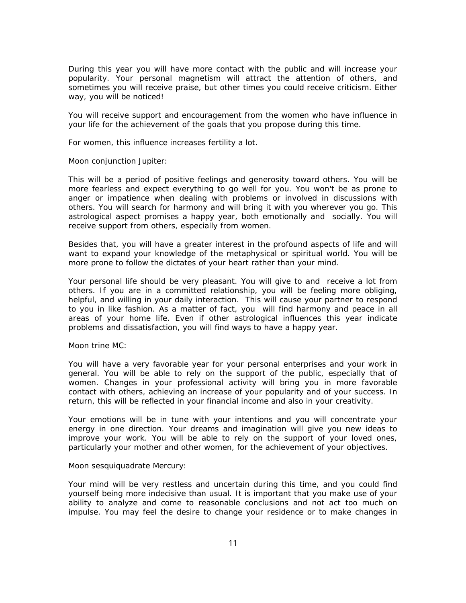During this year you will have more contact with the public and will increase your popularity. Your personal magnetism will attract the attention of others, and sometimes you will receive praise, but other times you could receive criticism. Either way, you will be noticed!

You will receive support and encouragement from the women who have influence in your life for the achievement of the goals that you propose during this time.

For women, this influence increases fertility a lot.

### *Moon conjunction Jupiter:*

This will be a period of positive feelings and generosity toward others. You will be more fearless and expect everything to go well for you. You won't be as prone to anger or impatience when dealing with problems or involved in discussions with others. You will search for harmony and will bring it with you wherever you go. This astrological aspect promises a happy year, both emotionally and socially. You will receive support from others, especially from women.

Besides that, you will have a greater interest in the profound aspects of life and will want to expand your knowledge of the metaphysical or spiritual world. You will be more prone to follow the dictates of your heart rather than your mind.

Your personal life should be very pleasant. You will give to and receive a lot from others. If you are in a committed relationship, you will be feeling more obliging, helpful, and willing in your daily interaction. This will cause your partner to respond to you in like fashion. As a matter of fact, you will find harmony and peace in all areas of your home life. Even if other astrological influences this year indicate problems and dissatisfaction, you will find ways to have a happy year.

### *Moon trine MC:*

You will have a very favorable year for your personal enterprises and your work in general. You will be able to rely on the support of the public, especially that of women. Changes in your professional activity will bring you in more favorable contact with others, achieving an increase of your popularity and of your success. In return, this will be reflected in your financial income and also in your creativity.

Your emotions will be in tune with your intentions and you will concentrate your energy in one direction. Your dreams and imagination will give you new ideas to improve your work. You will be able to rely on the support of your loved ones, particularly your mother and other women, for the achievement of your objectives.

### *Moon sesquiquadrate Mercury:*

Your mind will be very restless and uncertain during this time, and you could find yourself being more indecisive than usual. It is important that you make use of your ability to analyze and come to reasonable conclusions and not act too much on impulse. You may feel the desire to change your residence or to make changes in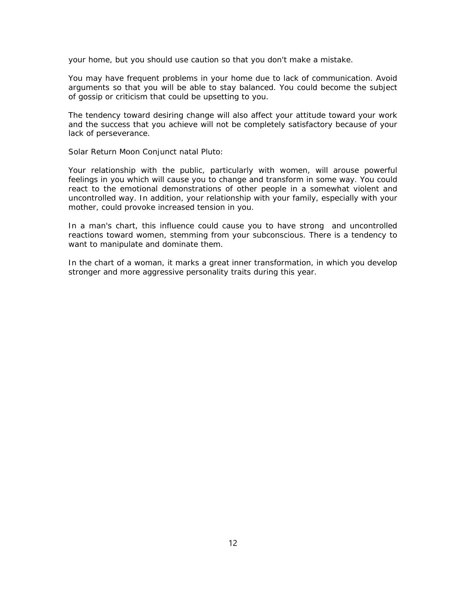your home, but you should use caution so that you don't make a mistake.

You may have frequent problems in your home due to lack of communication. Avoid arguments so that you will be able to stay balanced. You could become the subject of gossip or criticism that could be upsetting to you.

The tendency toward desiring change will also affect your attitude toward your work and the success that you achieve will not be completely satisfactory because of your lack of perseverance.

### *Solar Return Moon Conjunct natal Pluto:*

Your relationship with the public, particularly with women, will arouse powerful feelings in you which will cause you to change and transform in some way. You could react to the emotional demonstrations of other people in a somewhat violent and uncontrolled way. In addition, your relationship with your family, especially with your mother, could provoke increased tension in you.

In a man's chart, this influence could cause you to have strong and uncontrolled reactions toward women, stemming from your subconscious. There is a tendency to want to manipulate and dominate them.

In the chart of a woman, it marks a great inner transformation, in which you develop stronger and more aggressive personality traits during this year.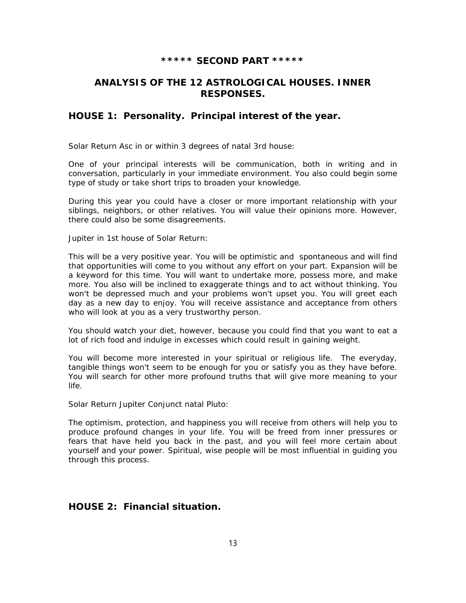## **\*\*\*\*\* SECOND PART \*\*\*\*\***

# **ANALYSIS OF THE 12 ASTROLOGICAL HOUSES. INNER RESPONSES.**

## **HOUSE 1: Personality. Principal interest of the year.**

#### *Solar Return Asc in or within 3 degrees of natal 3rd house:*

One of your principal interests will be communication, both in writing and in conversation, particularly in your immediate environment. You also could begin some type of study or take short trips to broaden your knowledge.

During this year you could have a closer or more important relationship with your siblings, neighbors, or other relatives. You will value their opinions more. However, there could also be some disagreements.

### *Jupiter in 1st house of Solar Return:*

This will be a very positive year. You will be optimistic and spontaneous and will find that opportunities will come to you without any effort on your part. Expansion will be a keyword for this time. You will want to undertake more, possess more, and make more. You also will be inclined to exaggerate things and to act without thinking. You won't be depressed much and your problems won't upset you. You will greet each day as a new day to enjoy. You will receive assistance and acceptance from others who will look at you as a very trustworthy person.

You should watch your diet, however, because you could find that you want to eat a lot of rich food and indulge in excesses which could result in gaining weight.

You will become more interested in your spiritual or religious life. The everyday, tangible things won't seem to be enough for you or satisfy you as they have before. You will search for other more profound truths that will give more meaning to your life.

### *Solar Return Jupiter Conjunct natal Pluto:*

The optimism, protection, and happiness you will receive from others will help you to produce profound changes in your life. You will be freed from inner pressures or fears that have held you back in the past, and you will feel more certain about yourself and your power. Spiritual, wise people will be most influential in guiding you through this process.

# **HOUSE 2: Financial situation.**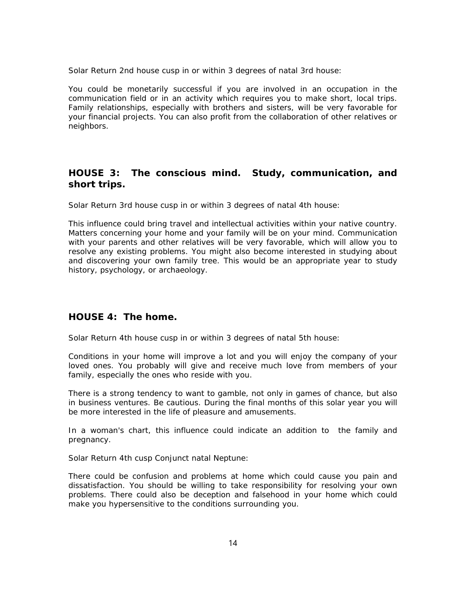*Solar Return 2nd house cusp in or within 3 degrees of natal 3rd house:*

You could be monetarily successful if you are involved in an occupation in the communication field or in an activity which requires you to make short, local trips. Family relationships, especially with brothers and sisters, will be very favorable for your financial projects. You can also profit from the collaboration of other relatives or neighbors.

# **HOUSE 3: The conscious mind. Study, communication, and short trips.**

*Solar Return 3rd house cusp in or within 3 degrees of natal 4th house:*

This influence could bring travel and intellectual activities within your native country. Matters concerning your home and your family will be on your mind. Communication with your parents and other relatives will be very favorable, which will allow you to resolve any existing problems. You might also become interested in studying about and discovering your own family tree. This would be an appropriate year to study history, psychology, or archaeology.

## **HOUSE 4: The home.**

*Solar Return 4th house cusp in or within 3 degrees of natal 5th house:*

Conditions in your home will improve a lot and you will enjoy the company of your loved ones. You probably will give and receive much love from members of your family, especially the ones who reside with you.

There is a strong tendency to want to gamble, not only in games of chance, but also in business ventures. Be cautious. During the final months of this solar year you will be more interested in the life of pleasure and amusements.

In a woman's chart, this influence could indicate an addition to the family and pregnancy.

### *Solar Return 4th cusp Conjunct natal Neptune:*

There could be confusion and problems at home which could cause you pain and dissatisfaction. You should be willing to take responsibility for resolving your own problems. There could also be deception and falsehood in your home which could make you hypersensitive to the conditions surrounding you.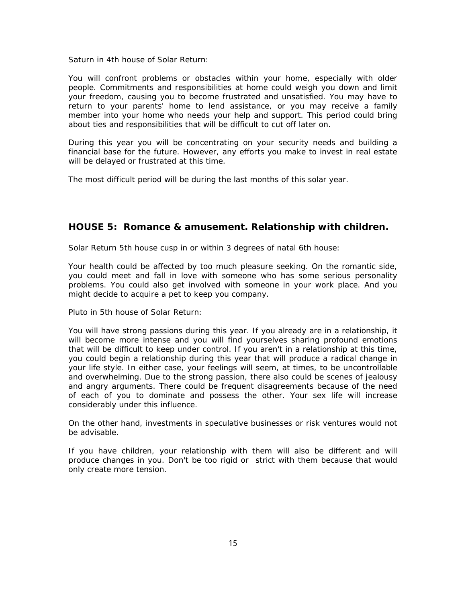*Saturn in 4th house of Solar Return:*

You will confront problems or obstacles within your home, especially with older people. Commitments and responsibilities at home could weigh you down and limit your freedom, causing you to become frustrated and unsatisfied. You may have to return to your parents' home to lend assistance, or you may receive a family member into your home who needs your help and support. This period could bring about ties and responsibilities that will be difficult to cut off later on.

During this year you will be concentrating on your security needs and building a financial base for the future. However, any efforts you make to invest in real estate will be delayed or frustrated at this time.

The most difficult period will be during the last months of this solar year.

# **HOUSE 5: Romance & amusement. Relationship with children.**

*Solar Return 5th house cusp in or within 3 degrees of natal 6th house:*

Your health could be affected by too much pleasure seeking. On the romantic side, you could meet and fall in love with someone who has some serious personality problems. You could also get involved with someone in your work place. And you might decide to acquire a pet to keep you company.

### *Pluto in 5th house of Solar Return:*

You will have strong passions during this year. If you already are in a relationship, it will become more intense and you will find yourselves sharing profound emotions that will be difficult to keep under control. If you aren't in a relationship at this time, you could begin a relationship during this year that will produce a radical change in your life style. In either case, your feelings will seem, at times, to be uncontrollable and overwhelming. Due to the strong passion, there also could be scenes of jealousy and angry arguments. There could be frequent disagreements because of the need of each of you to dominate and possess the other. Your sex life will increase considerably under this influence.

On the other hand, investments in speculative businesses or risk ventures would not be advisable.

If you have children, your relationship with them will also be different and will produce changes in you. Don't be too rigid or strict with them because that would only create more tension.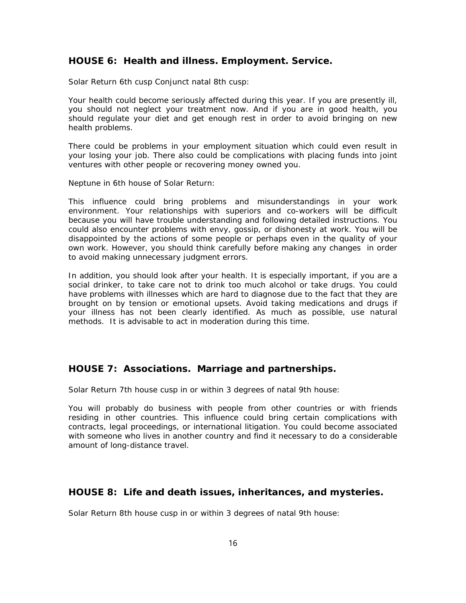## **HOUSE 6: Health and illness. Employment. Service.**

*Solar Return 6th cusp Conjunct natal 8th cusp:*

Your health could become seriously affected during this year. If you are presently ill, you should not neglect your treatment now. And if you are in good health, you should regulate your diet and get enough rest in order to avoid bringing on new health problems.

There could be problems in your employment situation which could even result in your losing your job. There also could be complications with placing funds into joint ventures with other people or recovering money owned you.

#### *Neptune in 6th house of Solar Return:*

This influence could bring problems and misunderstandings in your work environment. Your relationships with superiors and co-workers will be difficult because you will have trouble understanding and following detailed instructions. You could also encounter problems with envy, gossip, or dishonesty at work. You will be disappointed by the actions of some people or perhaps even in the quality of your own work. However, you should think carefully before making any changes in order to avoid making unnecessary judgment errors.

In addition, you should look after your health. It is especially important, if you are a social drinker, to take care not to drink too much alcohol or take drugs. You could have problems with illnesses which are hard to diagnose due to the fact that they are brought on by tension or emotional upsets. Avoid taking medications and drugs if your illness has not been clearly identified. As much as possible, use natural methods. It is advisable to act in moderation during this time.

# **HOUSE 7: Associations. Marriage and partnerships.**

*Solar Return 7th house cusp in or within 3 degrees of natal 9th house:*

You will probably do business with people from other countries or with friends residing in other countries. This influence could bring certain complications with contracts, legal proceedings, or international litigation. You could become associated with someone who lives in another country and find it necessary to do a considerable amount of long-distance travel.

### **HOUSE 8: Life and death issues, inheritances, and mysteries.**

*Solar Return 8th house cusp in or within 3 degrees of natal 9th house:*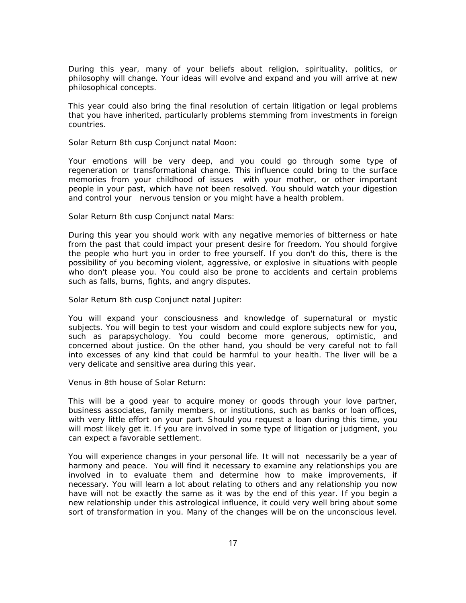During this year, many of your beliefs about religion, spirituality, politics, or philosophy will change. Your ideas will evolve and expand and you will arrive at new philosophical concepts.

This year could also bring the final resolution of certain litigation or legal problems that you have inherited, particularly problems stemming from investments in foreign countries.

### *Solar Return 8th cusp Conjunct natal Moon:*

Your emotions will be very deep, and you could go through some type of regeneration or transformational change. This influence could bring to the surface memories from your childhood of issues with your mother, or other important people in your past, which have not been resolved. You should watch your digestion and control your nervous tension or you might have a health problem.

### *Solar Return 8th cusp Conjunct natal Mars:*

During this year you should work with any negative memories of bitterness or hate from the past that could impact your present desire for freedom. You should forgive the people who hurt you in order to free yourself. If you don't do this, there is the possibility of you becoming violent, aggressive, or explosive in situations with people who don't please you. You could also be prone to accidents and certain problems such as falls, burns, fights, and angry disputes.

### *Solar Return 8th cusp Conjunct natal Jupiter:*

You will expand your consciousness and knowledge of supernatural or mystic subjects. You will begin to test your wisdom and could explore subjects new for you, such as parapsychology. You could become more generous, optimistic, and concerned about justice. On the other hand, you should be very careful not to fall into excesses of any kind that could be harmful to your health. The liver will be a very delicate and sensitive area during this year.

### *Venus in 8th house of Solar Return:*

This will be a good year to acquire money or goods through your love partner, business associates, family members, or institutions, such as banks or loan offices, with very little effort on your part. Should you request a loan during this time, you will most likely get it. If you are involved in some type of litigation or judgment, you can expect a favorable settlement.

You will experience changes in your personal life. It will not necessarily be a year of harmony and peace. You will find it necessary to examine any relationships you are involved in to evaluate them and determine how to make improvements, if necessary. You will learn a lot about relating to others and any relationship you now have will not be exactly the same as it was by the end of this year. If you begin a new relationship under this astrological influence, it could very well bring about some sort of transformation in you. Many of the changes will be on the unconscious level.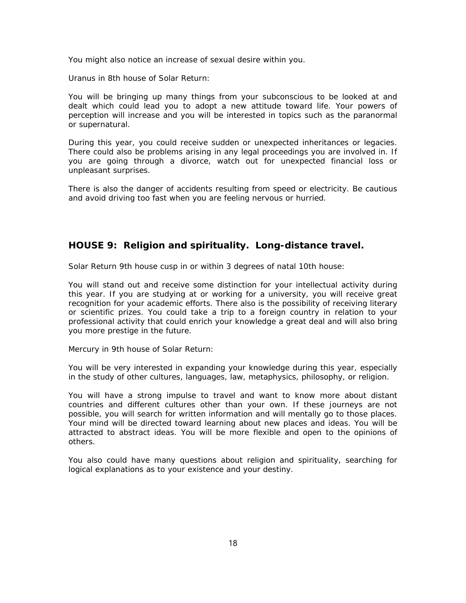You might also notice an increase of sexual desire within you.

### *Uranus in 8th house of Solar Return:*

You will be bringing up many things from your subconscious to be looked at and dealt which could lead you to adopt a new attitude toward life. Your powers of perception will increase and you will be interested in topics such as the paranormal or supernatural.

During this year, you could receive sudden or unexpected inheritances or legacies. There could also be problems arising in any legal proceedings you are involved in. If you are going through a divorce, watch out for unexpected financial loss or unpleasant surprises.

There is also the danger of accidents resulting from speed or electricity. Be cautious and avoid driving too fast when you are feeling nervous or hurried.

# **HOUSE 9: Religion and spirituality. Long-distance travel.**

*Solar Return 9th house cusp in or within 3 degrees of natal 10th house:*

You will stand out and receive some distinction for your intellectual activity during this year. If you are studying at or working for a university, you will receive great recognition for your academic efforts. There also is the possibility of receiving literary or scientific prizes. You could take a trip to a foreign country in relation to your professional activity that could enrich your knowledge a great deal and will also bring you more prestige in the future.

### *Mercury in 9th house of Solar Return:*

You will be very interested in expanding your knowledge during this year, especially in the study of other cultures, languages, law, metaphysics, philosophy, or religion.

You will have a strong impulse to travel and want to know more about distant countries and different cultures other than your own. If these journeys are not possible, you will search for written information and will mentally go to those places. Your mind will be directed toward learning about new places and ideas. You will be attracted to abstract ideas. You will be more flexible and open to the opinions of others.

You also could have many questions about religion and spirituality, searching for logical explanations as to your existence and your destiny.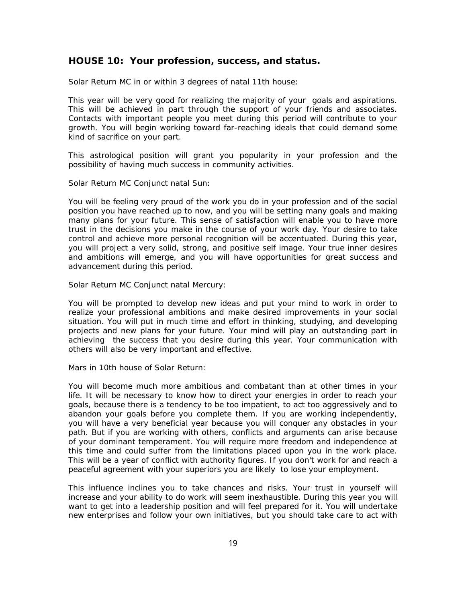## **HOUSE 10: Your profession, success, and status.**

*Solar Return MC in or within 3 degrees of natal 11th house:*

This year will be very good for realizing the majority of your goals and aspirations. This will be achieved in part through the support of your friends and associates. Contacts with important people you meet during this period will contribute to your growth. You will begin working toward far-reaching ideals that could demand some kind of sacrifice on your part.

This astrological position will grant you popularity in your profession and the possibility of having much success in community activities.

#### *Solar Return MC Conjunct natal Sun:*

You will be feeling very proud of the work you do in your profession and of the social position you have reached up to now, and you will be setting many goals and making many plans for your future. This sense of satisfaction will enable you to have more trust in the decisions you make in the course of your work day. Your desire to take control and achieve more personal recognition will be accentuated. During this year, you will project a very solid, strong, and positive self image. Your true inner desires and ambitions will emerge, and you will have opportunities for great success and advancement during this period.

### *Solar Return MC Conjunct natal Mercury:*

You will be prompted to develop new ideas and put your mind to work in order to realize your professional ambitions and make desired improvements in your social situation. You will put in much time and effort in thinking, studying, and developing projects and new plans for your future. Your mind will play an outstanding part in achieving the success that you desire during this year. Your communication with others will also be very important and effective.

#### *Mars in 10th house of Solar Return:*

You will become much more ambitious and combatant than at other times in your life. It will be necessary to know how to direct your energies in order to reach your goals, because there is a tendency to be too impatient, to act too aggressively and to abandon your goals before you complete them. If you are working independently, you will have a very beneficial year because you will conquer any obstacles in your path. But if you are working with others, conflicts and arguments can arise because of your dominant temperament. You will require more freedom and independence at this time and could suffer from the limitations placed upon you in the work place. This will be a year of conflict with authority figures. If you don't work for and reach a peaceful agreement with your superiors you are likely to lose your employment.

This influence inclines you to take chances and risks. Your trust in yourself will increase and your ability to do work will seem inexhaustible. During this year you will want to get into a leadership position and will feel prepared for it. You will undertake new enterprises and follow your own initiatives, but you should take care to act with